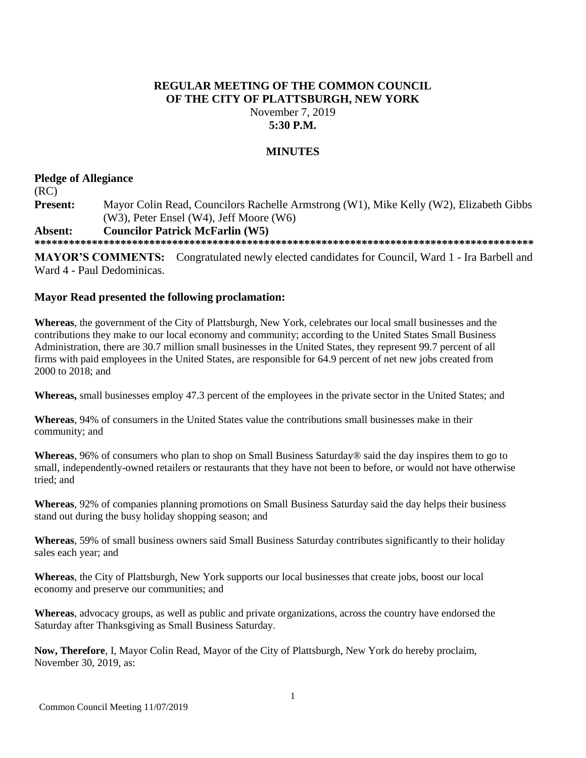## **REGULAR MEETING OF THE COMMON COUNCIL OF THE CITY OF PLATTSBURGH, NEW YORK** November 7, 2019

## **5:30 P.M.**

## **MINUTES**

# **Pledge of Allegiance**

(RC) **Present:** Mayor Colin Read, Councilors Rachelle Armstrong (W1), Mike Kelly (W2), Elizabeth Gibbs (W3), Peter Ensel (W4), Jeff Moore (W6)

## **Absent: Councilor Patrick McFarlin (W5)**

**\*\*\*\*\*\*\*\*\*\*\*\*\*\*\*\*\*\*\*\*\*\*\*\*\*\*\*\*\*\*\*\*\*\*\*\*\*\*\*\*\*\*\*\*\*\*\*\*\*\*\*\*\*\*\*\*\*\*\*\*\*\*\*\*\*\*\*\*\*\*\*\*\*\*\*\*\*\*\*\*\*\*\*\*\*\*\***

**MAYOR'S COMMENTS:** Congratulated newly elected candidates for Council, Ward 1 - Ira Barbell and Ward 4 - Paul Dedominicas.

## **Mayor Read presented the following proclamation:**

**Whereas**, the government of the City of Plattsburgh, New York, celebrates our local small businesses and the contributions they make to our local economy and community; according to the United States Small Business Administration, there are 30.7 million small businesses in the United States, they represent 99.7 percent of all firms with paid employees in the United States, are responsible for 64.9 percent of net new jobs created from 2000 to 2018; and

**Whereas,** small businesses employ 47.3 percent of the employees in the private sector in the United States; and

**Whereas**, 94% of consumers in the United States value the contributions small businesses make in their community; and

**Whereas**, 96% of consumers who plan to shop on Small Business Saturday® said the day inspires them to go to small, independently-owned retailers or restaurants that they have not been to before, or would not have otherwise tried; and

**Whereas**, 92% of companies planning promotions on Small Business Saturday said the day helps their business stand out during the busy holiday shopping season; and

**Whereas**, 59% of small business owners said Small Business Saturday contributes significantly to their holiday sales each year; and

**Whereas**, the City of Plattsburgh, New York supports our local businesses that create jobs, boost our local economy and preserve our communities; and

**Whereas**, advocacy groups, as well as public and private organizations, across the country have endorsed the Saturday after Thanksgiving as Small Business Saturday.

**Now, Therefore**, I, Mayor Colin Read, Mayor of the City of Plattsburgh, New York do hereby proclaim, November 30, 2019, as: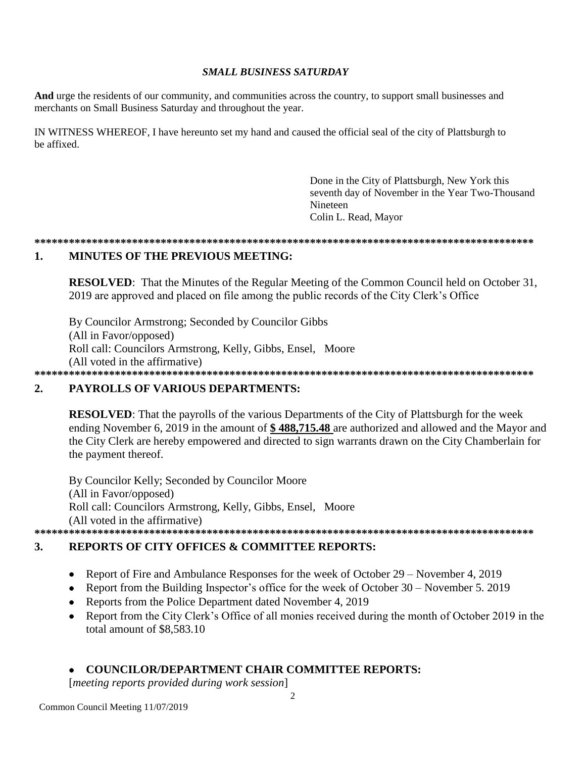## **SMALL BUSINESS SATURDAY**

And urge the residents of our community, and communities across the country, to support small businesses and merchants on Small Business Saturday and throughout the year.

IN WITNESS WHEREOF, I have hereunto set my hand and caused the official seal of the city of Plattsburgh to be affixed.

> Done in the City of Plattsburgh, New York this seventh day of November in the Year Two-Thousand **Nineteen** Colin L. Read, Mayor

### 

### 1. **MINUTES OF THE PREVIOUS MEETING:**

**RESOLVED:** That the Minutes of the Regular Meeting of the Common Council held on October 31, 2019 are approved and placed on file among the public records of the City Clerk's Office

By Councilor Armstrong; Seconded by Councilor Gibbs (All in Favor/opposed) Roll call: Councilors Armstrong, Kelly, Gibbs, Ensel, Moore (All voted in the affirmative) 

### **PAYROLLS OF VARIOUS DEPARTMENTS:**  $2.$

**RESOLVED:** That the payrolls of the various Departments of the City of Plattsburgh for the week ending November 6, 2019 in the amount of \$488,715.48 are authorized and allowed and the Mayor and the City Clerk are hereby empowered and directed to sign warrants drawn on the City Chamberlain for the payment thereof.

By Councilor Kelly; Seconded by Councilor Moore (All in Favor/opposed) Roll call: Councilors Armstrong, Kelly, Gibbs, Ensel, Moore (All voted in the affirmative) 

### $3.$ **REPORTS OF CITY OFFICES & COMMITTEE REPORTS:**

- Report of Fire and Ambulance Responses for the week of October 29 November 4, 2019  $\bullet$
- Report from the Building Inspector's office for the week of October  $30 -$ November 5. 2019
- Reports from the Police Department dated November 4, 2019
- Report from the City Clerk's Office of all monies received during the month of October 2019 in the total amount of \$8,583.10

## **COUNCILOR/DEPARTMENT CHAIR COMMITTEE REPORTS:**

[meeting reports provided during work session]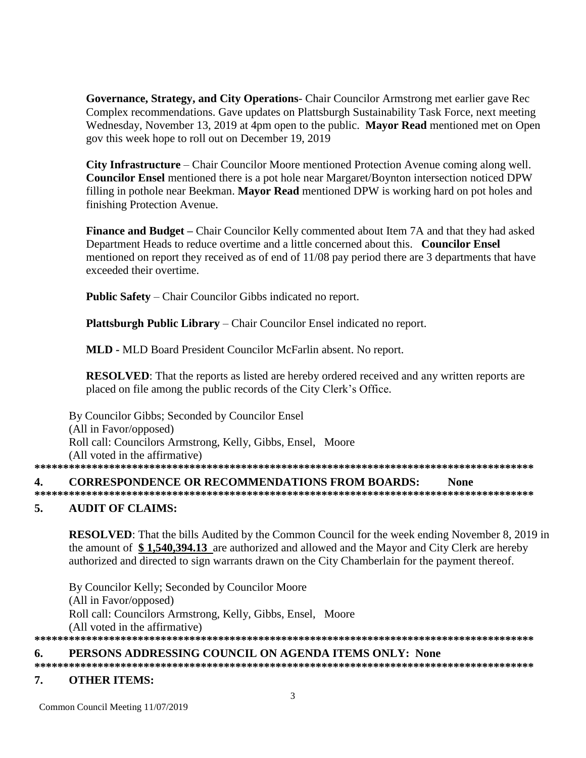Governance, Strategy, and City Operations- Chair Councilor Armstrong met earlier gave Rec Complex recommendations. Gave updates on Plattsburgh Sustainability Task Force, next meeting Wednesday, November 13, 2019 at 4pm open to the public. Mayor Read mentioned met on Open gov this week hope to roll out on December 19, 2019

**City Infrastructure** – Chair Councilor Moore mentioned Protection Avenue coming along well. **Councilor Ensel** mentioned there is a pot hole near Margaret/Boynton intersection noticed DPW filling in pothole near Beekman. Mayor Read mentioned DPW is working hard on pot holes and finishing Protection Avenue.

Finance and Budget – Chair Councilor Kelly commented about Item 7A and that they had asked Department Heads to reduce overtime and a little concerned about this. Councilor Ensel mentioned on report they received as of end of 11/08 pay period there are 3 departments that have exceeded their overtime.

**Public Safety** – Chair Councilor Gibbs indicated no report.

Plattsburgh Public Library - Chair Councilor Ensel indicated no report.

MLD - MLD Board President Councilor McFarlin absent. No report.

**RESOLVED:** That the reports as listed are hereby ordered received and any written reports are placed on file among the public records of the City Clerk's Office.

By Councilor Gibbs; Seconded by Councilor Ensel (All in Favor/opposed) Roll call: Councilors Armstrong, Kelly, Gibbs, Ensel, Moore (All voted in the affirmative) 

### 4. **CORRESPONDENCE OR RECOMMENDATIONS FROM BOARDS: None**

### $\overline{5}$ . **AUDIT OF CLAIMS:**

**RESOLVED:** That the bills Audited by the Common Council for the week ending November 8, 2019 in the amount of \$1,540,394.13 are authorized and allowed and the Mayor and City Clerk are hereby authorized and directed to sign warrants drawn on the City Chamberlain for the payment thereof.

By Councilor Kelly; Seconded by Councilor Moore (All in Favor/opposed) Roll call: Councilors Armstrong, Kelly, Gibbs, Ensel, Moore (All voted in the affirmative) 

### PERSONS ADDRESSING COUNCIL ON AGENDA ITEMS ONLY: None 6.

### 7. **OTHER ITEMS:**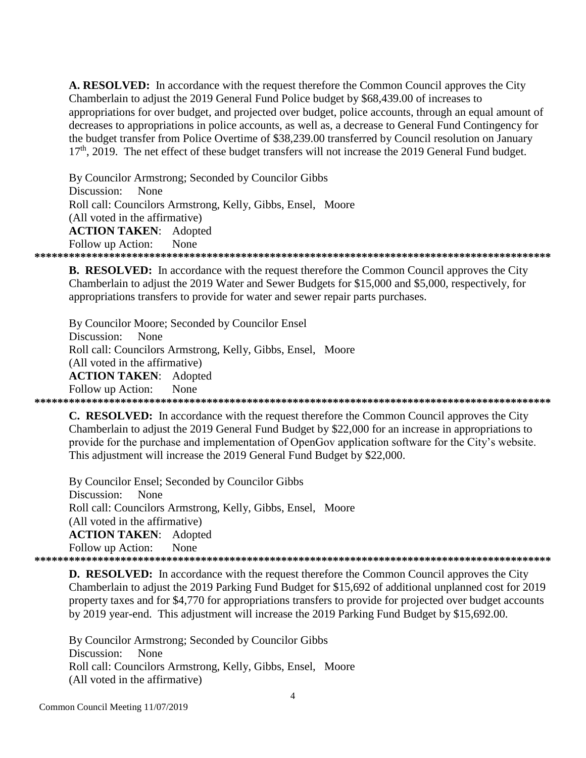A. RESOLVED: In accordance with the request therefore the Common Council approves the City Chamberlain to adjust the 2019 General Fund Police budget by \$68,439.00 of increases to appropriations for over budget, and projected over budget, police accounts, through an equal amount of decreases to appropriations in police accounts, as well as, a decrease to General Fund Contingency for the budget transfer from Police Overtime of \$38,239.00 transferred by Council resolution on January  $17<sup>th</sup>$ , 2019. The net effect of these budget transfers will not increase the 2019 General Fund budget.

By Councilor Armstrong; Seconded by Councilor Gibbs Discussion: None Roll call: Councilors Armstrong, Kelly, Gibbs, Ensel, Moore (All voted in the affirmative) **ACTION TAKEN:** Adopted Follow up Action: **None** 

**B. RESOLVED:** In accordance with the request therefore the Common Council approves the City Chamberlain to adjust the 2019 Water and Sewer Budgets for \$15,000 and \$5,000, respectively, for appropriations transfers to provide for water and sewer repair parts purchases.

By Councilor Moore; Seconded by Councilor Ensel Discussion: None Roll call: Councilors Armstrong, Kelly, Gibbs, Ensel, Moore (All voted in the affirmative) **ACTION TAKEN:** Adopted **None** Follow up Action: 

**C. RESOLVED:** In accordance with the request therefore the Common Council approves the City Chamberlain to adjust the 2019 General Fund Budget by \$22,000 for an increase in appropriations to provide for the purchase and implementation of OpenGov application software for the City's website. This adjustment will increase the 2019 General Fund Budget by \$22,000.

By Councilor Ensel; Seconded by Councilor Gibbs Discussion: None Roll call: Councilors Armstrong, Kelly, Gibbs, Ensel, Moore (All voted in the affirmative) **ACTION TAKEN:** Adopted Follow up Action: None 

**D. RESOLVED:** In accordance with the request therefore the Common Council approves the City Chamberlain to adjust the 2019 Parking Fund Budget for \$15,692 of additional unplanned cost for 2019 property taxes and for \$4,770 for appropriations transfers to provide for projected over budget accounts by 2019 year-end. This adjustment will increase the 2019 Parking Fund Budget by \$15,692.00.

By Councilor Armstrong; Seconded by Councilor Gibbs Discussion: None Roll call: Councilors Armstrong, Kelly, Gibbs, Ensel, Moore (All voted in the affirmative)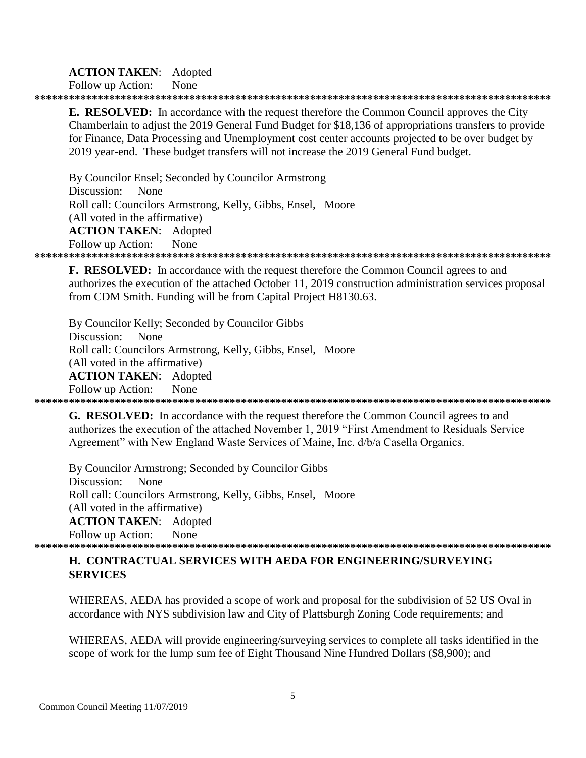## **ACTION TAKEN:** Adopted

Follow up Action: None

**E. RESOLVED:** In accordance with the request therefore the Common Council approves the City Chamberlain to adjust the 2019 General Fund Budget for \$18,136 of appropriations transfers to provide for Finance, Data Processing and Unemployment cost center accounts projected to be over budget by 2019 year-end. These budget transfers will not increase the 2019 General Fund budget.

By Councilor Ensel; Seconded by Councilor Armstrong Discussion: None Roll call: Councilors Armstrong, Kelly, Gibbs, Ensel, Moore (All voted in the affirmative) **ACTION TAKEN:** Adopted Follow up Action: **None** 

F. RESOLVED: In accordance with the request therefore the Common Council agrees to and authorizes the execution of the attached October 11, 2019 construction administration services proposal from CDM Smith. Funding will be from Capital Project H8130.63.

By Councilor Kelly; Seconded by Councilor Gibbs Discussion: None Roll call: Councilors Armstrong, Kelly, Gibbs, Ensel, Moore (All voted in the affirmative) **ACTION TAKEN:** Adopted None Follow up Action: 

**G. RESOLVED:** In accordance with the request therefore the Common Council agrees to and authorizes the execution of the attached November 1, 2019 "First Amendment to Residuals Service Agreement" with New England Waste Services of Maine, Inc. d/b/a Casella Organics.

By Councilor Armstrong; Seconded by Councilor Gibbs Discussion: None Roll call: Councilors Armstrong, Kelly, Gibbs, Ensel, Moore (All voted in the affirmative) **ACTION TAKEN:** Adopted Follow up Action: None 

## **H. CONTRACTUAL SERVICES WITH AEDA FOR ENGINEERING/SURVEYING SERVICES**

WHEREAS, AEDA has provided a scope of work and proposal for the subdivision of 52 US Oval in accordance with NYS subdivision law and City of Plattsburgh Zoning Code requirements; and

WHEREAS, AEDA will provide engineering/surveying services to complete all tasks identified in the scope of work for the lump sum fee of Eight Thousand Nine Hundred Dollars (\$8,900); and